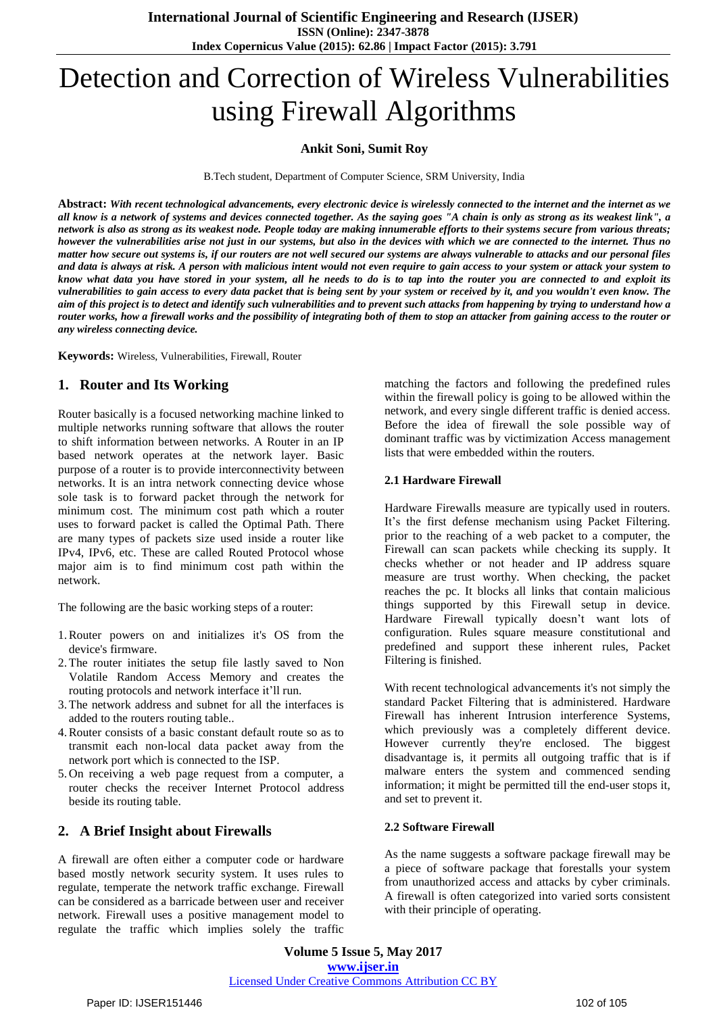# Detection and Correction of Wireless Vulnerabilities using Firewall Algorithms

## **Ankit Soni, Sumit Roy**

B.Tech student, Department of Computer Science, SRM University, India

Abstract: With recent technological advancements, every electronic device is wirelessly connected to the internet and the internet as we all know is a network of systems and devices connected together. As the saying goes "A chain is only as strong as its weakest link", a network is also as strong as its weakest node. People today are making innumerable efforts to their systems secure from various threats; however the vulnerabilities arise not just in our systems, but also in the devices with which we are connected to the internet. Thus no matter how secure out systems is, if our routers are not well secured our systems are always vulnerable to attacks and our personal files and data is always at risk. A person with malicious intent would not even require to gain access to your system or attack your system to know what data you have stored in your system, all he needs to do is to tap into the router you are connected to and exploit its vulnerabilities to gain access to every data packet that is being sent by your system or received by it, and you wouldn't even know. The aim of this project is to detect and identify such vulnerabilities and to prevent such attacks from happening by trying to understand how a router works, how a firewall works and the possibility of integrating both of them to stop an attacker from gaining access to the router or *any wireless connecting device.*

**Keywords:** Wireless, Vulnerabilities, Firewall, Router

# **1. Router and Its Working**

Router basically is a focused networking machine linked to multiple networks running software that allows the router to shift information between networks. A Router in an IP based network operates at the network layer. Basic purpose of a router is to provide interconnectivity between networks. It is an intra network connecting device whose sole task is to forward packet through the network for minimum cost. The minimum cost path which a router uses to forward packet is called the Optimal Path. There are many types of packets size used inside a router like IPv4, IPv6, etc. These are called Routed Protocol whose major aim is to find minimum cost path within the network.

The following are the basic working steps of a router:

- 1.Router powers on and initializes it's OS from the device's firmware.
- 2.The router initiates the setup file lastly saved to Non Volatile Random Access Memory and creates the routing protocols and network interface it'll run.
- 3.The network address and subnet for all the interfaces is added to the routers routing table..
- 4.Router consists of a basic constant default route so as to transmit each non-local data packet away from the network port which is connected to the ISP.
- 5. On receiving a web page request from a computer, a router checks the receiver Internet Protocol address beside its routing table.

# **2. A Brief Insight about Firewalls**

A firewall are often either a computer code or hardware based mostly network security system. It uses rules to regulate, temperate the network traffic exchange. Firewall can be considered as a barricade between user and receiver network. Firewall uses a positive management model to regulate the traffic which implies solely the traffic matching the factors and following the predefined rules within the firewall policy is going to be allowed within the network, and every single different traffic is denied access. Before the idea of firewall the sole possible way of dominant traffic was by victimization Access management lists that were embedded within the routers.

### **2.1 Hardware Firewall**

Hardware Firewalls measure are typically used in routers. It's the first defense mechanism using Packet Filtering. prior to the reaching of a web packet to a computer, the Firewall can scan packets while checking its supply. It checks whether or not header and IP address square measure are trust worthy. When checking, the packet reaches the pc. It blocks all links that contain malicious things supported by this Firewall setup in device. Hardware Firewall typically doesn"t want lots of configuration. Rules square measure constitutional and predefined and support these inherent rules, Packet Filtering is finished.

With recent technological advancements it's not simply the standard Packet Filtering that is administered. Hardware Firewall has inherent Intrusion interference Systems, which previously was a completely different device. However currently they're enclosed. The biggest disadvantage is, it permits all outgoing traffic that is if malware enters the system and commenced sending information; it might be permitted till the end-user stops it, and set to prevent it.

### **2.2 Software Firewall**

As the name suggests a software package firewall may be a piece of software package that forestalls your system from unauthorized access and attacks by cyber criminals. A firewall is often categorized into varied sorts consistent with their principle of operating.

**Volume 5 Issue 5, May 2017 www.ijser.in** Licensed Under Creative Commons Attribution CC BY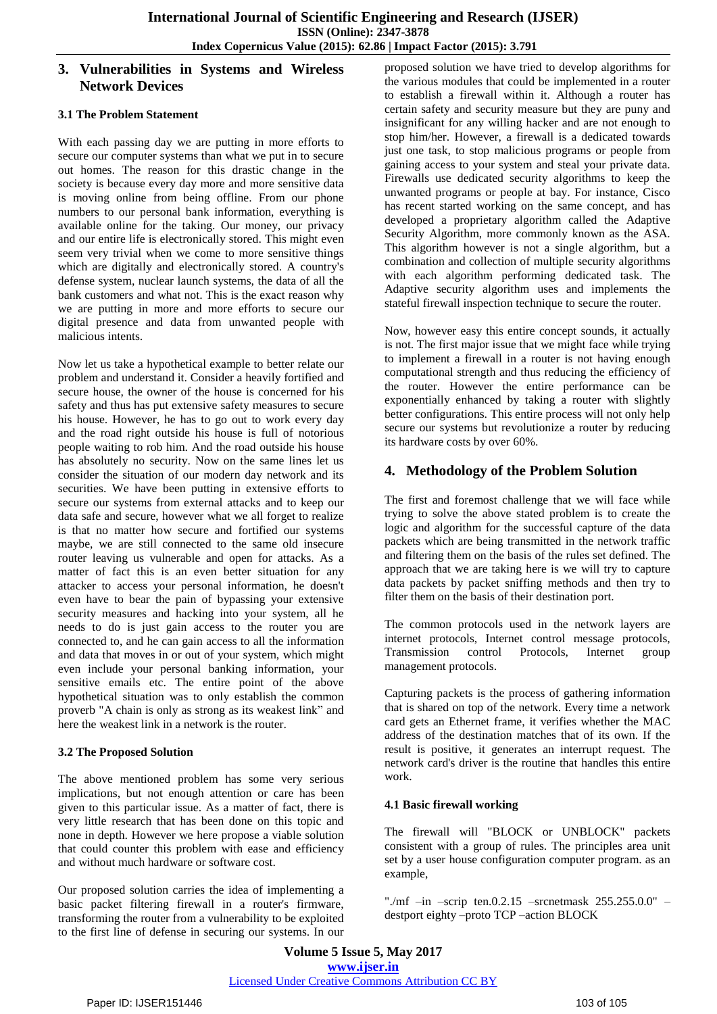# **3. Vulnerabilities in Systems and Wireless Network Devices**

## **3.1 The Problem Statement**

With each passing day we are putting in more efforts to secure our computer systems than what we put in to secure out homes. The reason for this drastic change in the society is because every day more and more sensitive data is moving online from being offline. From our phone numbers to our personal bank information, everything is available online for the taking. Our money, our privacy and our entire life is electronically stored. This might even seem very trivial when we come to more sensitive things which are digitally and electronically stored. A country's defense system, nuclear launch systems, the data of all the bank customers and what not. This is the exact reason why we are putting in more and more efforts to secure our digital presence and data from unwanted people with malicious intents.

Now let us take a hypothetical example to better relate our problem and understand it. Consider a heavily fortified and secure house, the owner of the house is concerned for his safety and thus has put extensive safety measures to secure his house. However, he has to go out to work every day and the road right outside his house is full of notorious people waiting to rob him. And the road outside his house has absolutely no security. Now on the same lines let us consider the situation of our modern day network and its securities. We have been putting in extensive efforts to secure our systems from external attacks and to keep our data safe and secure, however what we all forget to realize is that no matter how secure and fortified our systems maybe, we are still connected to the same old insecure router leaving us vulnerable and open for attacks. As a matter of fact this is an even better situation for any attacker to access your personal information, he doesn't even have to bear the pain of bypassing your extensive security measures and hacking into your system, all he needs to do is just gain access to the router you are connected to, and he can gain access to all the information and data that moves in or out of your system, which might even include your personal banking information, your sensitive emails etc. The entire point of the above hypothetical situation was to only establish the common proverb "A chain is only as strong as its weakest link" and here the weakest link in a network is the router.

### **3.2 The Proposed Solution**

The above mentioned problem has some very serious implications, but not enough attention or care has been given to this particular issue. As a matter of fact, there is very little research that has been done on this topic and none in depth. However we here propose a viable solution that could counter this problem with ease and efficiency and without much hardware or software cost.

Our proposed solution carries the idea of implementing a basic packet filtering firewall in a router's firmware, transforming the router from a vulnerability to be exploited to the first line of defense in securing our systems. In our proposed solution we have tried to develop algorithms for the various modules that could be implemented in a router to establish a firewall within it. Although a router has certain safety and security measure but they are puny and insignificant for any willing hacker and are not enough to stop him/her. However, a firewall is a dedicated towards just one task, to stop malicious programs or people from gaining access to your system and steal your private data. Firewalls use dedicated security algorithms to keep the unwanted programs or people at bay. For instance, Cisco has recent started working on the same concept, and has developed a proprietary algorithm called the Adaptive Security Algorithm, more commonly known as the ASA. This algorithm however is not a single algorithm, but a combination and collection of multiple security algorithms with each algorithm performing dedicated task. The Adaptive security algorithm uses and implements the stateful firewall inspection technique to secure the router.

Now, however easy this entire concept sounds, it actually is not. The first major issue that we might face while trying to implement a firewall in a router is not having enough computational strength and thus reducing the efficiency of the router. However the entire performance can be exponentially enhanced by taking a router with slightly better configurations. This entire process will not only help secure our systems but revolutionize a router by reducing its hardware costs by over 60%.

# **4. Methodology of the Problem Solution**

The first and foremost challenge that we will face while trying to solve the above stated problem is to create the logic and algorithm for the successful capture of the data packets which are being transmitted in the network traffic and filtering them on the basis of the rules set defined. The approach that we are taking here is we will try to capture data packets by packet sniffing methods and then try to filter them on the basis of their destination port.

The common protocols used in the network layers are internet protocols, Internet control message protocols, Transmission control Protocols, Internet group management protocols.

Capturing packets is the process of gathering information that is shared on top of the network. Every time a network card gets an Ethernet frame, it verifies whether the MAC address of the destination matches that of its own. If the result is positive, it generates an interrupt request. The network card's driver is the routine that handles this entire work.

# **4.1 Basic firewall working**

The firewall will "BLOCK or UNBLOCK" packets consistent with a group of rules. The principles area unit set by a user house configuration computer program. as an example,

"./mf –in –scrip ten.0.2.15 –srcnetmask 255.255.0.0" – destport eighty –proto TCP –action BLOCK

**Volume 5 Issue 5, May 2017 www.ijser.in** Licensed Under Creative Commons Attribution CC BY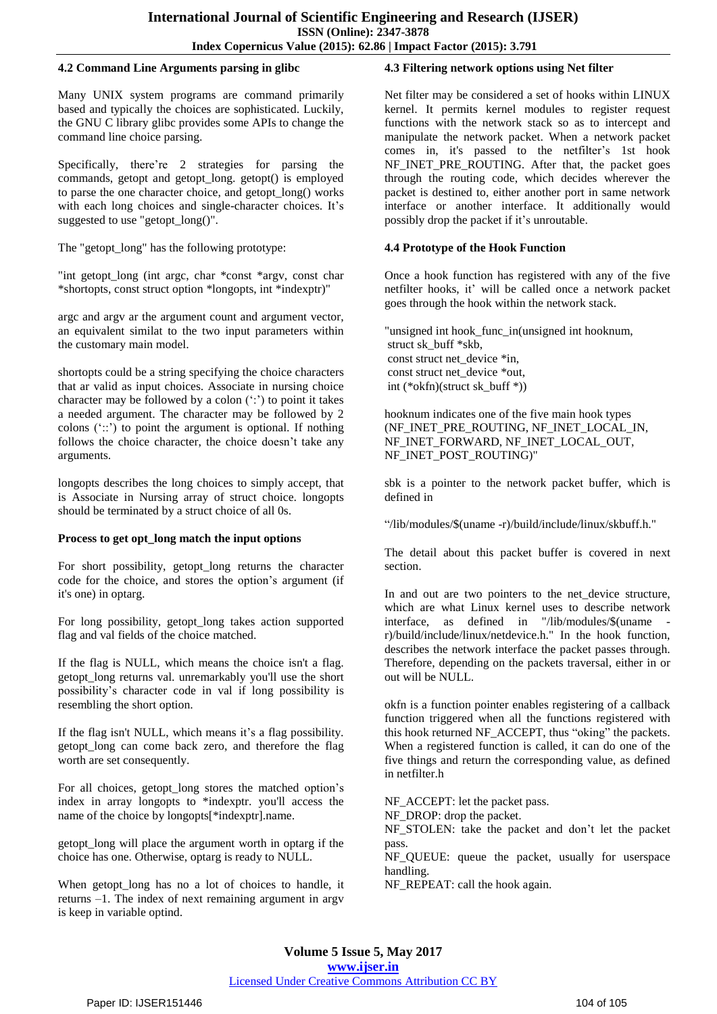## **4.2 Command Line Arguments parsing in glibc**

Many UNIX system programs are command primarily based and typically the choices are sophisticated. Luckily, the GNU C library glibc provides some APIs to change the command line choice parsing.

Specifically, there're 2 strategies for parsing the commands, getopt and getopt\_long. getopt() is employed to parse the one character choice, and getopt\_long() works with each long choices and single-character choices. It's suggested to use "getopt long()".

The "getopt\_long" has the following prototype:

"int getopt\_long (int argc, char \*const \*argv, const char \*shortopts, const struct option \*longopts, int \*indexptr)"

argc and argv ar the argument count and argument vector, an equivalent similat to the two input parameters within the customary main model.

shortopts could be a string specifying the choice characters that ar valid as input choices. Associate in nursing choice character may be followed by a colon  $(\cdot;')$  to point it takes a needed argument. The character may be followed by 2 colons  $('::')$  to point the argument is optional. If nothing follows the choice character, the choice doesn't take any arguments.

longopts describes the long choices to simply accept, that is Associate in Nursing array of struct choice. longopts should be terminated by a struct choice of all 0s.

# **Process to get opt\_long match the input options**

For short possibility, getopt\_long returns the character code for the choice, and stores the option"s argument (if it's one) in optarg.

For long possibility, getopt\_long takes action supported flag and val fields of the choice matched.

If the flag is NULL, which means the choice isn't a flag. getopt\_long returns val. unremarkably you'll use the short possibility"s character code in val if long possibility is resembling the short option.

If the flag isn't NULL, which means it's a flag possibility. getopt long can come back zero, and therefore the flag worth are set consequently.

For all choices, getopt\_long stores the matched option"s index in array longopts to \*indexptr. you'll access the name of the choice by longopts[\*indexptr].name.

getopt\_long will place the argument worth in optarg if the choice has one. Otherwise, optarg is ready to NULL.

When getopt long has no a lot of choices to handle, it returns –1. The index of next remaining argument in argv is keep in variable optind.

## **4.3 Filtering network options using Net filter**

Net filter may be considered a set of hooks within LINUX kernel. It permits kernel modules to register request functions with the network stack so as to intercept and manipulate the network packet. When a network packet comes in, it's passed to the netfilter's 1st hook NF\_INET\_PRE\_ROUTING. After that, the packet goes through the routing code, which decides wherever the packet is destined to, either another port in same network interface or another interface. It additionally would possibly drop the packet if it"s unroutable.

# **4.4 Prototype of the Hook Function**

Once a hook function has registered with any of the five netfilter hooks, it' will be called once a network packet goes through the hook within the network stack.

"unsigned int hook\_func\_in(unsigned int hooknum, struct sk\_buff \*skb, const struct net device \*in, const struct net\_device \*out, int (\*okfn)(struct sk\_buff \*))

hooknum indicates one of the five main hook types (NF\_INET\_PRE\_ROUTING, NF\_INET\_LOCAL\_IN, NF\_INET\_FORWARD, NF\_INET\_LOCAL\_OUT, NF\_INET\_POST\_ROUTING)"

sbk is a pointer to the network packet buffer, which is defined in

"/lib/modules/\$(uname -r)/build/include/linux/skbuff.h."

The detail about this packet buffer is covered in next section.

In and out are two pointers to the net\_device structure, which are what Linux kernel uses to describe network interface, as defined in  $\frac{1}{10}$ /modules/\$(uname r)/build/include/linux/netdevice.h." In the hook function, describes the network interface the packet passes through. Therefore, depending on the packets traversal, either in or out will be NULL.

okfn is a function pointer enables registering of a callback function triggered when all the functions registered with this hook returned NF\_ACCEPT, thus "oking" the packets. When a registered function is called, it can do one of the five things and return the corresponding value, as defined in netfilter.h

NF\_ACCEPT: let the packet pass.

NF\_DROP: drop the packet.

NF\_STOLEN: take the packet and don"t let the packet pass.

NF\_QUEUE: queue the packet, usually for userspace handling.

NF\_REPEAT: call the hook again.